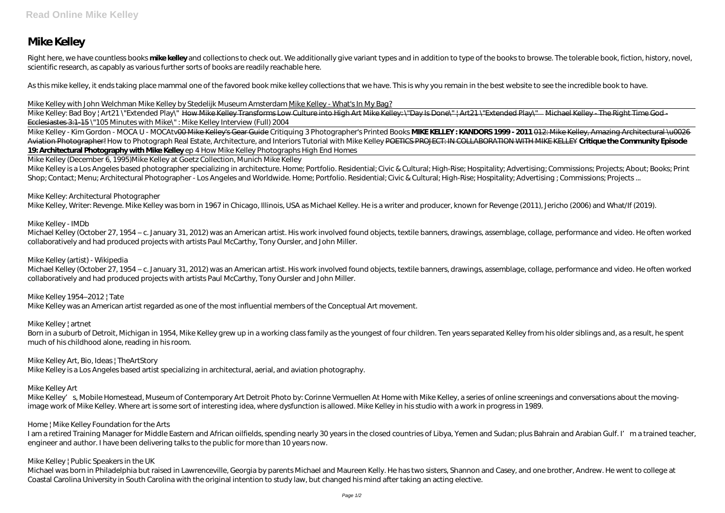# **Mike Kelley**

Right here, we have countless books **mike kelley** and collections to check out. We additionally give variant types and in addition to type of the books to browse. The tolerable book, fiction, history, novel, scientific research, as capably as various further sorts of books are readily reachable here.

As this mike kelley, it ends taking place mammal one of the favored book mike kelley collections that we have. This is why you remain in the best website to see the incredible book to have.

Mike Kelley: Bad Boy | Art21 \"Extended Play\" How Mike Kelley Transforms Low Culture into High Art Mike Kelley: \"Day Is Done\" | Art21 \"Extended Play\" Michael Kelley - The Right Time God -Ecclesiastes 3:1-15 \"105 Minutes with Mike\" : Mike Kelley Interview (Full) 2004

# Mike Kelley with John Welchman Mike Kelley by Stedelijk Museum Amsterdam Mike Kelley - What's In My Bag?

Mike Kelley - Kim Gordon - MOCA U - MOCA tv<del>OO Mike Kelley's Gear Guide</del> Critiquing 3 Photographer's Printed Books MKE KELLEY: KANDORS 1999 - 2011 012: Mike Kelley, Amazing Architectural \u0026 Aviation Photographer! How to Photograph Real Estate, Architecture, and Interiors Tutorial with Mike Kelley POETICS PROJECT: IN COLLABORATION WITH MIKE KELLEY Critique the Community Episode **19: Architectural Photography with Mike Kelley** *ep 4 How Mike Kelley Photographs High End Homes*

Mike Kelley is a Los Angeles based photographer specializing in architecture. Home; Portfolio. Residential; Civic & Cultural; High-Rise; Hospitality; Advertising; Commissions; Projects; About; Books; Print Shop; Contact: Menu; Architectural Photographer - Los Angeles and Worldwide. Home; Portfolio. Residential; Civic & Cultural; High-Rise; Hospitality; Advertising ; Commissions; Projects ...

#### Mike Kelley (December 6, 1995)*Mike Kelley at Goetz Collection, Munich Mike Kelley*

Born in a suburb of Detroit, Michigan in 1954, Mike Kelley grew up in a working class family as the youngest of four children. Ten years separated Kelley from his older siblings and, as a result, he spent much of his childhood alone, reading in his room.

Mike Kelley's, Mobile Homestead, Museum of Contemporary Art Detroit Photo by: Corinne Vermuellen At Home with Mike Kelley, a series of online screenings and conversations about the movingimage work of Mike Kelley. Where art is some sort of interesting idea, where dysfunction is allowed. Mike Kelley in his studio with a work in progress in 1989.

# *Mike Kelley: Architectural Photographer*

Mike Kelley, Writer: Revenge. Mike Kelley was born in 1967 in Chicago, Illinois, USA as Michael Kelley. He is a writer and producer, known for Revenge (2011), Jericho (2006) and What/If (2019).

## *Mike Kelley - IMDb*

Michael Kelley (October 27, 1954 – c. January 31, 2012) was an American artist. His work involved found objects, textile banners, drawings, assemblage, collage, performance and video. He often worked collaboratively and had produced projects with artists Paul McCarthy, Tony Oursler, and John Miller.

# *Mike Kelley (artist) - Wikipedia*

Michael Kelley (October 27, 1954 – c. January 31, 2012) was an American artist. His work involved found objects, textile banners, drawings, assemblage, collage, performance and video. He often worked collaboratively and had produced projects with artists Paul McCarthy, Tony Oursler and John Miller.

# *Mike Kelley 1954–2012 | Tate*

Mike Kelley was an American artist regarded as one of the most influential members of the Conceptual Art movement.

#### *Mike Kelley | artnet*

#### *Mike Kelley Art, Bio, Ideas | TheArtStory*

Mike Kelley is a Los Angeles based artist specializing in architectural, aerial, and aviation photography.

#### *Mike Kelley Art*

#### *Home | Mike Kelley Foundation for the Arts*

I am a retired Training Manager for Middle Eastern and African oilfields, spending nearly 30 years in the closed countries of Libya, Yemen and Sudan; plus Bahrain and Arabian Gulf. I'm a trained teacher, engineer and author. I have been delivering talks to the public for more than 10 years now.

#### *Mike Kelley | Public Speakers in the UK*

Michael was born in Philadelphia but raised in Lawrenceville, Georgia by parents Michael and Maureen Kelly. He has two sisters, Shannon and Casey, and one brother, Andrew. He went to college at Coastal Carolina University in South Carolina with the original intention to study law, but changed his mind after taking an acting elective.